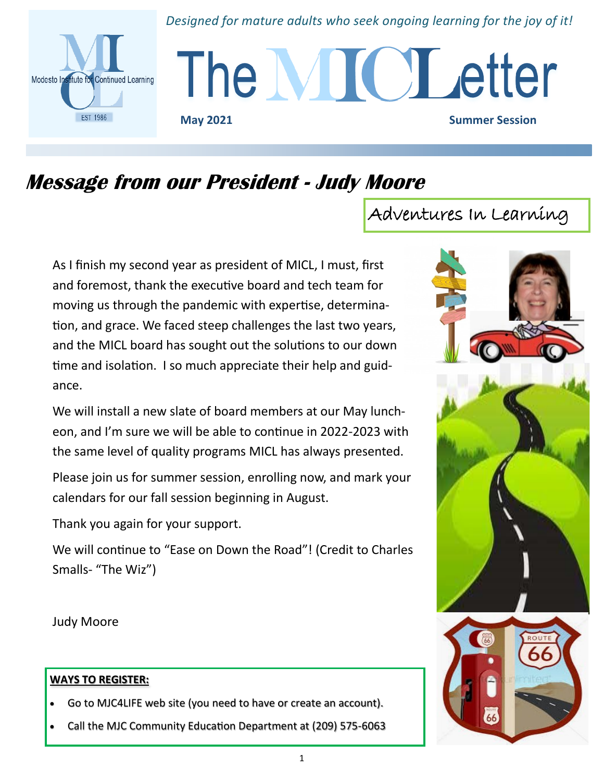# *Designed for mature adults who seek ongoing learning for the joy of it!*



The MIC Letter **May 2021** Summer Session

# **Message from our President - Judy Moore**

As I finish my second year as president of MICL, I must, first and foremost, thank the executive board and tech team for moving us through the pandemic with expertise, determination, and grace. We faced steep challenges the last two years, and the MICL board has sought out the solutions to our down time and isolation. I so much appreciate their help and guidance.

We will install a new slate of board members at our May luncheon, and I'm sure we will be able to continue in 2022-2023 with the same level of quality programs MICL has always presented.

Please join us for summer session, enrolling now, and mark your calendars for our fall session beginning in August.

Thank you again for your support.

We will continue to "Ease on Down the Road"! (Credit to Charles Smalls- "The Wiz")

Judy Moore

## **WAYS TO REGISTER:**

- Go to MJC4LIFE web site (you need to have or create an account).
- Call the MJC Community Education Department at (209) 575-6063

Adventures In Learning

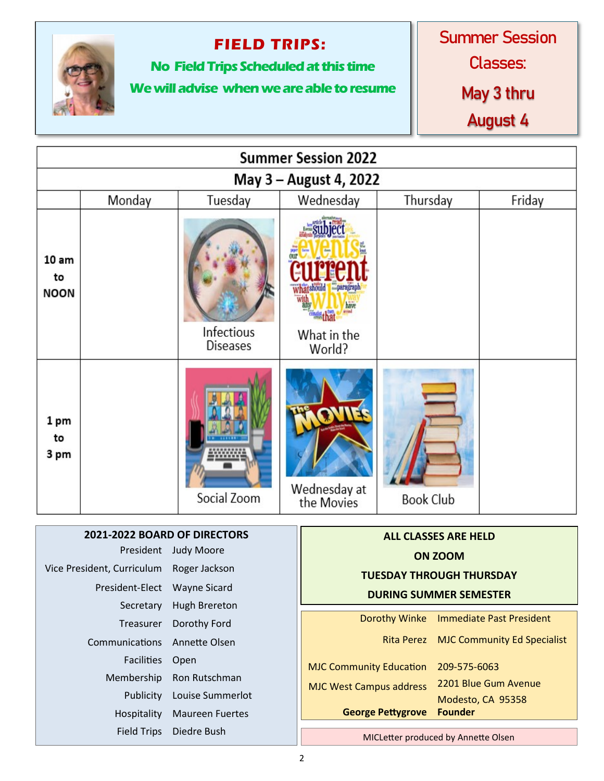

# **FIELD TRIPS:**

**No Field Trips Scheduled at this time**

# **We will advise when we are able to resume**

Summer Session

Classes:

**May 3 thru**

**August 4**

| <b>Summer Session 2022</b>   |                                          |                               |  |                                        |                                     |                |                                    |  |  |  |  |
|------------------------------|------------------------------------------|-------------------------------|--|----------------------------------------|-------------------------------------|----------------|------------------------------------|--|--|--|--|
| May 3 - August 4, 2022       |                                          |                               |  |                                        |                                     |                |                                    |  |  |  |  |
|                              | Monday                                   | Tuesday                       |  | Wednesday                              | Thursday                            |                | Friday                             |  |  |  |  |
| 10 am<br>to<br><b>NOON</b>   |                                          | Infectious<br><b>Diseases</b> |  | have<br>What in the<br>World?          |                                     |                |                                    |  |  |  |  |
| 1 pm<br>to<br>3 pm           |                                          | Social Zoom                   |  | Wednesday at<br>the Movies             | <b>Book Club</b>                    |                |                                    |  |  |  |  |
| 2021-2022 BOARD OF DIRECTORS |                                          |                               |  |                                        |                                     |                |                                    |  |  |  |  |
|                              |                                          | President Judy Moore          |  | <b>ALL CLASSES ARE HELD</b><br>ON ZOOM |                                     |                |                                    |  |  |  |  |
|                              | Vice President, Curriculum Roger Jackson |                               |  |                                        | <b>TUESDAY THROUGH THURSDAY</b>     |                |                                    |  |  |  |  |
| President-Elect Wayne Sicard |                                          |                               |  |                                        |                                     |                |                                    |  |  |  |  |
| Secretary                    |                                          | <b>Hugh Brereton</b>          |  |                                        | <b>DURING SUMMER SEMESTER</b>       |                |                                    |  |  |  |  |
| Treasurer                    |                                          | Dorothy Ford                  |  |                                        | <b>Dorothy Winke</b>                |                | <b>Immediate Past President</b>    |  |  |  |  |
| Communications               |                                          | Annette Olsen                 |  |                                        | <b>Rita Perez</b>                   |                | <b>MJC Community Ed Specialist</b> |  |  |  |  |
| <b>Facilities</b>            |                                          | Open                          |  |                                        | <b>MJC Community Education</b>      |                | 209-575-6063                       |  |  |  |  |
| Membership                   |                                          | Ron Rutschman                 |  |                                        | <b>MJC West Campus address</b>      |                | 2201 Blue Gum Avenue               |  |  |  |  |
| Publicity                    |                                          | Louise Summerlot              |  |                                        |                                     |                | Modesto, CA 95358                  |  |  |  |  |
| Hospitality                  |                                          | <b>Maureen Fuertes</b>        |  |                                        | <b>George Pettygrove</b>            | <b>Founder</b> |                                    |  |  |  |  |
| <b>Field Trips</b>           |                                          | Diedre Bush                   |  |                                        | MICLetter produced by Annette Olsen |                |                                    |  |  |  |  |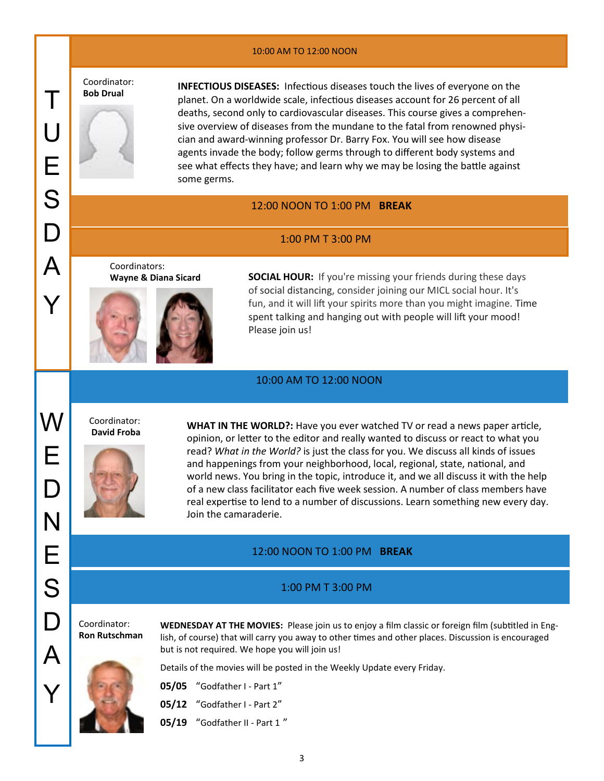#### 10:00 AM TO 12:00 NOON

Coordinator:<br>Bob Drual

**INFECTIOUS DISEASES:** Infectious diseases touch the lives of everyone on the planet. On a worldwide scale, infectious diseases account for 26 percent of all deaths, second only to cardiovascular diseases. This course gives a comprehensive overview of diseases from the mundane to the fatal from renowned physician and award-winning professor Dr. Barry Fox. You will see how disease agents invade the body; follow germs through to different body systems and see what effects they have; and learn why we may be losing the battle against some germs.

#### 12:00 NOON TO 1:00 PM **BREAK**

#### 1:00 PM T 3:00 PM

Coordinators:



**Wayne & Diana Sicard SOCIAL HOUR:** If you're missing your friends during these days of [social distancing,](https://www.inc.com/minda-zetlin/working-at-home-remote-work-partner-spouse-ground-rules-boundaries.html) consider joining our MICL social hour. It's fun, and it will lift your spirits more than you might imagine. Time spent talking and hanging out with people will lift your mood! Please join us!

#### 10:00 AM TO 12:00 NOON

Coordinator: W **David Froba**



**WHAT IN THE WORLD?:** Have you ever watched TV or read a news paper article, opinion, or letter to the editor and really wanted to discuss or react to what you read? *What in the World?* is just the class for you. We discuss all kinds of issues and happenings from your neighborhood, local, regional, state, national, and world news. You bring in the topic, introduce it, and we all discuss it with the help of a new class facilitator each five week session. A number of class members have real expertise to lend to a number of discussions. Learn something new every day. Join the camaraderie.

#### 12:00 NOON TO 1:00 PM **BREAK**

#### 1:00 PM T 3:00 PM

Coordinator: **Ron Rutschman**

**WEDNESDAY AT THE MOVIES:** Please join us to enjoy a film classic or foreign film (subtitled in English, of course) that will carry you away to other times and other places. Discussion is encouraged but is not required. We hope you will join us!



Details of the movies will be posted in the Weekly Update every Friday.

| <b>05/05</b> "Godfather I - Part 1" |  |
|-------------------------------------|--|
|                                     |  |

**05/12** "Godfather I - Part 2"

**05/19** "Godfather II - Part 1 "

E

 $\Box$ 

N

E

S

 $\Box$ 

 $\boldsymbol{\mathsf{A}}$ 

Y